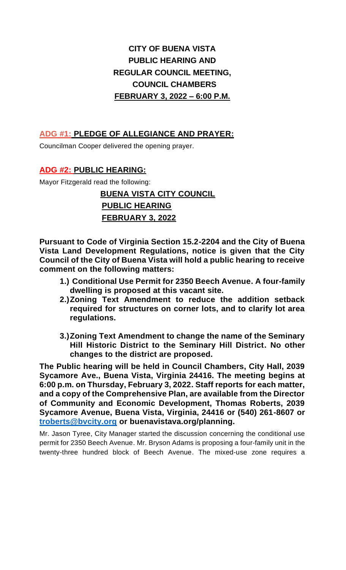# **CITY OF BUENA VISTA PUBLIC HEARING AND REGULAR COUNCIL MEETING, COUNCIL CHAMBERS FEBRUARY 3, 2022 – 6:00 P.M.**

# **ADG #1: PLEDGE OF ALLEGIANCE AND PRAYER:**

Councilman Cooper delivered the opening prayer.

# **ADG #2: PUBLIC HEARING:**

Mayor Fitzgerald read the following:

# **BUENA VISTA CITY COUNCIL PUBLIC HEARING FEBRUARY 3, 2022**

**Pursuant to Code of Virginia Section 15.2-2204 and the City of Buena Vista Land Development Regulations, notice is given that the City Council of the City of Buena Vista will hold a public hearing to receive comment on the following matters:**

- **1.) Conditional Use Permit for 2350 Beech Avenue. A four-family dwelling is proposed at this vacant site.**
- **2.)Zoning Text Amendment to reduce the addition setback required for structures on corner lots, and to clarify lot area regulations.**
- **3.)Zoning Text Amendment to change the name of the Seminary Hill Historic District to the Seminary Hill District. No other changes to the district are proposed.**

**The Public hearing will be held in Council Chambers, City Hall, 2039 Sycamore Ave., Buena Vista, Virginia 24416. The meeting begins at 6:00 p.m. on Thursday, February 3, 2022. Staff reports for each matter, and a copy of the Comprehensive Plan, are available from the Director of Community and Economic Development, Thomas Roberts, 2039 Sycamore Avenue, Buena Vista, Virginia, 24416 or (540) 261-8607 or [troberts@bvcity.org](mailto:troberts@bvcity.org) or buenavistava.org/planning.**

Mr. Jason Tyree, City Manager started the discussion concerning the conditional use permit for 2350 Beech Avenue. Mr. Bryson Adams is proposing a four-family unit in the twenty-three hundred block of Beech Avenue. The mixed-use zone requires a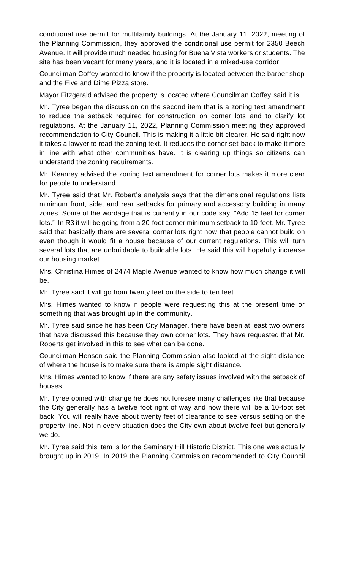conditional use permit for multifamily buildings. At the January 11, 2022, meeting of the Planning Commission, they approved the conditional use permit for 2350 Beech Avenue. It will provide much needed housing for Buena Vista workers or students. The site has been vacant for many years, and it is located in a mixed-use corridor.

Councilman Coffey wanted to know if the property is located between the barber shop and the Five and Dime Pizza store.

Mayor Fitzgerald advised the property is located where Councilman Coffey said it is.

Mr. Tyree began the discussion on the second item that is a zoning text amendment to reduce the setback required for construction on corner lots and to clarify lot regulations. At the January 11, 2022, Planning Commission meeting they approved recommendation to City Council. This is making it a little bit clearer. He said right now it takes a lawyer to read the zoning text. It reduces the corner set-back to make it more in line with what other communities have. It is clearing up things so citizens can understand the zoning requirements.

Mr. Kearney advised the zoning text amendment for corner lots makes it more clear for people to understand.

Mr. Tyree said that Mr. Robert's analysis says that the dimensional regulations lists minimum front, side, and rear setbacks for primary and accessory building in many zones. Some of the wordage that is currently in our code say, "Add 15 feet for corner lots." In R3 it will be going from a 20-foot corner minimum setback to 10-feet. Mr. Tyree said that basically there are several corner lots right now that people cannot build on even though it would fit a house because of our current regulations. This will turn several lots that are unbuildable to buildable lots. He said this will hopefully increase our housing market.

Mrs. Christina Himes of 2474 Maple Avenue wanted to know how much change it will be.

Mr. Tyree said it will go from twenty feet on the side to ten feet.

Mrs. Himes wanted to know if people were requesting this at the present time or something that was brought up in the community.

Mr. Tyree said since he has been City Manager, there have been at least two owners that have discussed this because they own corner lots. They have requested that Mr. Roberts get involved in this to see what can be done.

Councilman Henson said the Planning Commission also looked at the sight distance of where the house is to make sure there is ample sight distance.

Mrs. Himes wanted to know if there are any safety issues involved with the setback of houses.

Mr. Tyree opined with change he does not foresee many challenges like that because the City generally has a twelve foot right of way and now there will be a 10-foot set back. You will really have about twenty feet of clearance to see versus setting on the property line. Not in every situation does the City own about twelve feet but generally we do.

Mr. Tyree said this item is for the Seminary Hill Historic District. This one was actually brought up in 2019. In 2019 the Planning Commission recommended to City Council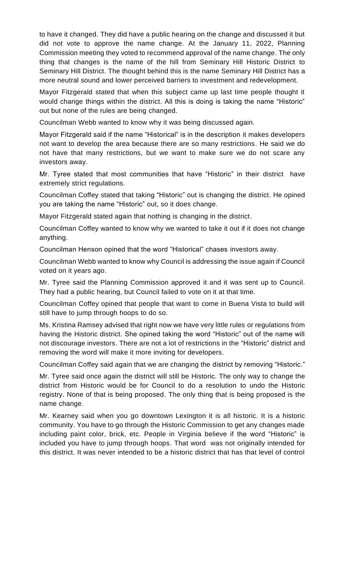to have it changed. They did have a public hearing on the change and discussed it but did not vote to approve the name change. At the January 11, 2022, Planning Commission meeting they voted to recommend approval of the name change. The only thing that changes is the name of the hill from Seminary Hill Historic District to Seminary Hill District. The thought behind this is the name Seminary Hill District has a more neutral sound and lower perceived barriers to investment and redevelopment.

Mayor Fitzgerald stated that when this subject came up last time people thought it would change things within the district. All this is doing is taking the name "Historic" out but none of the rules are being changed.

Councilman Webb wanted to know why it was being discussed again.

Mayor Fitzgerald said if the name "Historical" is in the description it makes developers not want to develop the area because there are so many restrictions. He said we do not have that many restrictions, but we want to make sure we do not scare any investors away.

Mr. Tyree stated that most communities that have "Historic" in their district have extremely strict regulations.

Councilman Coffey stated that taking "Historic" out is changing the district. He opined you are taking the name "Historic" out, so it does change.

Mayor Fitzgerald stated again that nothing is changing in the district.

Councilman Coffey wanted to know why we wanted to take it out if it does not change anything.

Councilman Henson opined that the word "Historical" chases investors away.

Councilman Webb wanted to know why Council is addressing the issue again if Council voted on it years ago.

Mr. Tyree said the Planning Commission approved it and it was sent up to Council. They had a public hearing, but Council failed to vote on it at that time.

Councilman Coffey opined that people that want to come in Buena Vista to build will still have to jump through hoops to do so.

Ms. Kristina Ramsey advised that right now we have very little rules or regulations from having the Historic district. She opined taking the word "Historic" out of the name will not discourage investors. There are not a lot of restrictions in the "Historic" district and removing the word will make it more inviting for developers.

Councilman Coffey said again that we are changing the district by removing "Historic."

Mr. Tyree said once again the district will still be Historic. The only way to change the district from Historic would be for Council to do a resolution to undo the Historic registry. None of that is being proposed. The only thing that is being proposed is the name change.

Mr. Kearney said when you go downtown Lexington it is all historic. It is a historic community. You have to go through the Historic Commission to get any changes made including paint color, brick, etc. People in Virginia believe if the word "Historic" is included you have to jump through hoops. That word was not originally intended for this district. It was never intended to be a historic district that has that level of control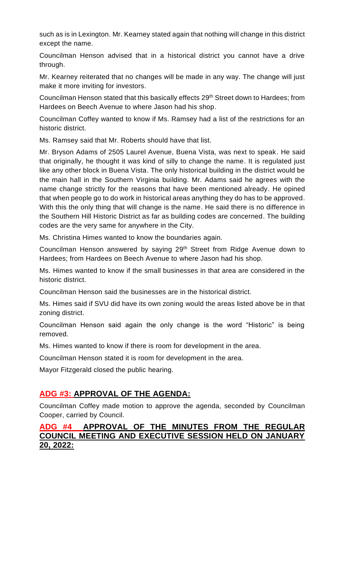such as is in Lexington. Mr. Kearney stated again that nothing will change in this district except the name.

Councilman Henson advised that in a historical district you cannot have a drive through.

Mr. Kearney reiterated that no changes will be made in any way. The change will just make it more inviting for investors.

Councilman Henson stated that this basically effects 29<sup>th</sup> Street down to Hardees; from Hardees on Beech Avenue to where Jason had his shop.

Councilman Coffey wanted to know if Ms. Ramsey had a list of the restrictions for an historic district.

Ms. Ramsey said that Mr. Roberts should have that list.

Mr. Bryson Adams of 2505 Laurel Avenue, Buena Vista, was next to speak. He said that originally, he thought it was kind of silly to change the name. It is regulated just like any other block in Buena Vista. The only historical building in the district would be the main hall in the Southern Virginia building. Mr. Adams said he agrees with the name change strictly for the reasons that have been mentioned already. He opined that when people go to do work in historical areas anything they do has to be approved. With this the only thing that will change is the name. He said there is no difference in the Southern Hill Historic District as far as building codes are concerned. The building codes are the very same for anywhere in the City.

Ms. Christina Himes wanted to know the boundaries again.

Councilman Henson answered by saying 29<sup>th</sup> Street from Ridge Avenue down to Hardees; from Hardees on Beech Avenue to where Jason had his shop.

Ms. Himes wanted to know if the small businesses in that area are considered in the historic district.

Councilman Henson said the businesses are in the historical district.

Ms. Himes said if SVU did have its own zoning would the areas listed above be in that zoning district.

Councilman Henson said again the only change is the word "Historic" is being removed.

Ms. Himes wanted to know if there is room for development in the area.

Councilman Henson stated it is room for development in the area.

Mayor Fitzgerald closed the public hearing.

#### **ADG #3: APPROVAL OF THE AGENDA:**

Councilman Coffey made motion to approve the agenda, seconded by Councilman Cooper, carried by Council.

#### **ADG #4 APPROVAL OF THE MINUTES FROM THE REGULAR COUNCIL MEETING AND EXECUTIVE SESSION HELD ON JANUARY 20, 2022:**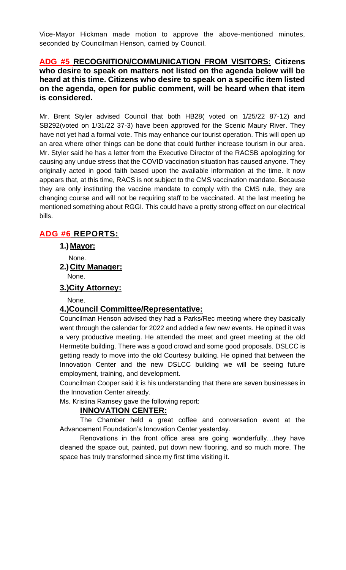Vice-Mayor Hickman made motion to approve the above-mentioned minutes, seconded by Councilman Henson, carried by Council.

#### **ADG #5 RECOGNITION/COMMUNICATION FROM VISITORS: Citizens who desire to speak on matters not listed on the agenda below will be heard at this time. Citizens who desire to speak on a specific item listed on the agenda, open for public comment, will be heard when that item is considered.**

Mr. Brent Styler advised Council that both HB28( voted on 1/25/22 87-12) and SB292(voted on 1/31/22 37-3) have been approved for the Scenic Maury River. They have not yet had a formal vote. This may enhance our tourist operation. This will open up an area where other things can be done that could further increase tourism in our area. Mr. Styler said he has a letter from the Executive Director of the RACSB apologizing for causing any undue stress that the COVID vaccination situation has caused anyone. They originally acted in good faith based upon the available information at the time. It now appears that, at this time, RACS is not subject to the CMS vaccination mandate. Because they are only instituting the vaccine mandate to comply with the CMS rule, they are changing course and will not be requiring staff to be vaccinated. At the last meeting he mentioned something about RGGI. This could have a pretty strong effect on our electrical bills.

# **ADG #6 REPORTS:**

**1.) Mayor:**

None.

**2.) City Manager:** None.

**3.)City Attorney:**

None.

#### **4.)Council Committee/Representative:**

Councilman Henson advised they had a Parks/Rec meeting where they basically went through the calendar for 2022 and added a few new events. He opined it was a very productive meeting. He attended the meet and greet meeting at the old Hermetite building. There was a good crowd and some good proposals. DSLCC is getting ready to move into the old Courtesy building. He opined that between the Innovation Center and the new DSLCC building we will be seeing future employment, training, and development.

Councilman Cooper said it is his understanding that there are seven businesses in the Innovation Center already.

Ms. Kristina Ramsey gave the following report:

#### **INNOVATION CENTER:**

The Chamber held a great coffee and conversation event at the Advancement Foundation's Innovation Center yesterday.

Renovations in the front office area are going wonderfully…they have cleaned the space out, painted, put down new flooring, and so much more. The space has truly transformed since my first time visiting it.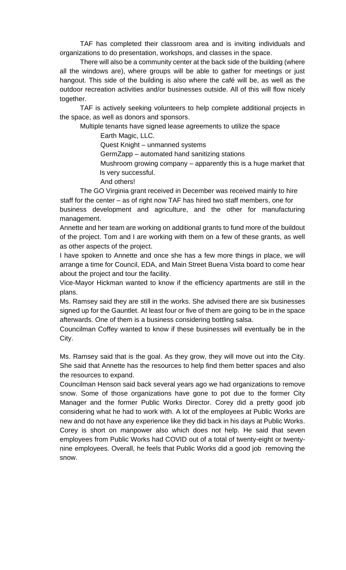TAF has completed their classroom area and is inviting individuals and organizations to do presentation, workshops, and classes in the space.

There will also be a community center at the back side of the building (where all the windows are), where groups will be able to gather for meetings or just hangout. This side of the building is also where the café will be, as well as the outdoor recreation activities and/or businesses outside. All of this will flow nicely together.

TAF is actively seeking volunteers to help complete additional projects in the space, as well as donors and sponsors.

Multiple tenants have signed lease agreements to utilize the space

Earth Magic, LLC.

Quest Knight – unmanned systems

GermZapp – automated hand sanitizing stations

 Mushroom growing company – apparently this is a huge market that Is very successful.

And others!

The GO Virginia grant received in December was received mainly to hire staff for the center – as of right now TAF has hired two staff members, one for business development and agriculture, and the other for manufacturing management.

Annette and her team are working on additional grants to fund more of the buildout of the project. Tom and I are working with them on a few of these grants, as well as other aspects of the project.

I have spoken to Annette and once she has a few more things in place, we will arrange a time for Council, EDA, and Main Street Buena Vista board to come hear about the project and tour the facility.

Vice-Mayor Hickman wanted to know if the efficiency apartments are still in the plans.

Ms. Ramsey said they are still in the works. She advised there are six businesses signed up for the Gauntlet. At least four or five of them are going to be in the space afterwards. One of them is a business considering bottling salsa.

Councilman Coffey wanted to know if these businesses will eventually be in the City.

Ms. Ramsey said that is the goal. As they grow, they will move out into the City. She said that Annette has the resources to help find them better spaces and also the resources to expand.

Councilman Henson said back several years ago we had organizations to remove snow. Some of those organizations have gone to pot due to the former City Manager and the former Public Works Director. Corey did a pretty good job considering what he had to work with. A lot of the employees at Public Works are new and do not have any experience like they did back in his days at Public Works. Corey is short on manpower also which does not help. He said that seven employees from Public Works had COVID out of a total of twenty-eight or twentynine employees. Overall, he feels that Public Works did a good job removing the snow.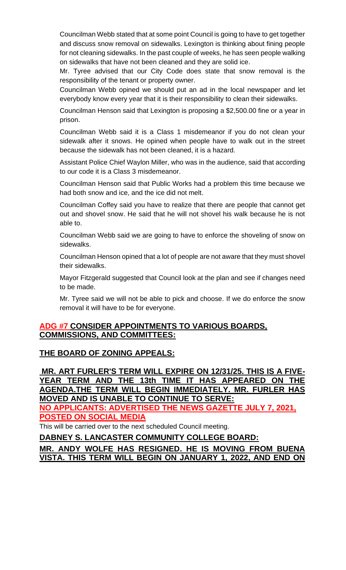Councilman Webb stated that at some point Council is going to have to get together and discuss snow removal on sidewalks. Lexington is thinking about fining people for not cleaning sidewalks. In the past couple of weeks, he has seen people walking on sidewalks that have not been cleaned and they are solid ice.

Mr. Tyree advised that our City Code does state that snow removal is the responsibility of the tenant or property owner.

Councilman Webb opined we should put an ad in the local newspaper and let everybody know every year that it is their responsibility to clean their sidewalks.

Councilman Henson said that Lexington is proposing a \$2,500.00 fine or a year in prison.

Councilman Webb said it is a Class 1 misdemeanor if you do not clean your sidewalk after it snows. He opined when people have to walk out in the street because the sidewalk has not been cleaned, it is a hazard.

Assistant Police Chief Waylon Miller, who was in the audience, said that according to our code it is a Class 3 misdemeanor.

Councilman Henson said that Public Works had a problem this time because we had both snow and ice, and the ice did not melt.

Councilman Coffey said you have to realize that there are people that cannot get out and shovel snow. He said that he will not shovel his walk because he is not able to.

Councilman Webb said we are going to have to enforce the shoveling of snow on sidewalks.

Councilman Henson opined that a lot of people are not aware that they must shovel their sidewalks.

Mayor Fitzgerald suggested that Council look at the plan and see if changes need to be made.

Mr. Tyree said we will not be able to pick and choose. If we do enforce the snow removal it will have to be for everyone.

#### **ADG #7 CONSIDER APPOINTMENTS TO VARIOUS BOARDS, COMMISSIONS, AND COMMITTEES:**

# **THE BOARD OF ZONING APPEALS:**

**MR. ART FURLER'S TERM WILL EXPIRE ON 12/31/25. THIS IS A FIVE-YEAR TERM AND THE 13th TIME IT HAS APPEARED ON THE AGENDA.THE TERM WILL BEGIN [IMMEDIATELY. MR.](http://immediately.mr/) FURLER HAS MOVED AND IS UNABLE TO CONTINUE TO SERVE:**

**NO APPLICANTS: ADVERTISED THE NEWS GAZETTE JULY 7, 2021, POSTED ON SOCIAL MEDIA**

This will be carried over to the next scheduled Council meeting.

**DABNEY S. LANCASTER COMMUNITY COLLEGE BOARD:**

**MR. ANDY WOLFE HAS RESIGNED. HE IS MOVING FROM BUENA VISTA. THIS TERM WILL BEGIN ON JANUARY 1, 2022, AND END ON**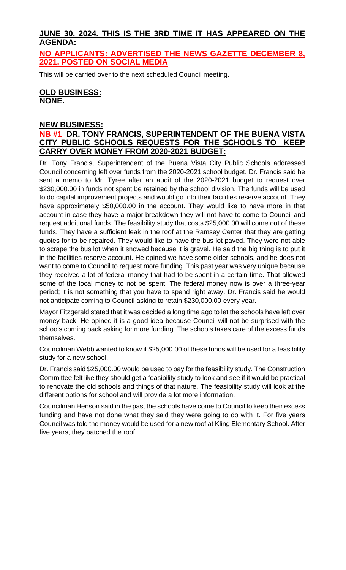# **JUNE 30, 2024. THIS IS THE 3RD TIME IT HAS APPEARED ON THE AGENDA:**

**NO APPLICANTS: ADVERTISED THE NEWS GAZETTE DECEMBER 8, 2021. POSTED ON SOCIAL MEDIA**

This will be carried over to the next scheduled Council meeting.

### **OLD BUSINESS: NONE.**

### **NEW BUSINESS:**

#### **NB #1 DR. TONY FRANCIS, SUPERINTENDENT OF THE BUENA VISTA CITY PUBLIC SCHOOLS REQUESTS FOR THE SCHOOLS TO KEEP CARRY OVER MONEY FROM 2020-2021 BUDGET:**

Dr. Tony Francis, Superintendent of the Buena Vista City Public Schools addressed Council concerning left over funds from the 2020-2021 school budget. Dr. Francis said he sent a memo to Mr. Tyree after an audit of the 2020-2021 budget to request over \$230,000.00 in funds not spent be retained by the school division. The funds will be used to do capital improvement projects and would go into their facilities reserve account. They have approximately \$50,000.00 in the account. They would like to have more in that account in case they have a major breakdown they will not have to come to Council and request additional funds. The feasibility study that costs \$25,000.00 will come out of these funds. They have a sufficient leak in the roof at the Ramsey Center that they are getting quotes for to be repaired. They would like to have the bus lot paved. They were not able to scrape the bus lot when it snowed because it is gravel. He said the big thing is to put it in the facilities reserve account. He opined we have some older schools, and he does not want to come to Council to request more funding. This past year was very unique because they received a lot of federal money that had to be spent in a certain time. That allowed some of the local money to not be spent. The federal money now is over a three-year period; it is not something that you have to spend right away. Dr. Francis said he would not anticipate coming to Council asking to retain \$230,000.00 every year.

Mayor Fitzgerald stated that it was decided a long time ago to let the schools have left over money back. He opined it is a good idea because Council will not be surprised with the schools coming back asking for more funding. The schools takes care of the excess funds themselves.

Councilman Webb wanted to know if \$25,000.00 of these funds will be used for a feasibility study for a new school.

Dr. Francis said \$25,000.00 would be used to pay for the feasibility study. The Construction Committee felt like they should get a feasibility study to look and see if it would be practical to renovate the old schools and things of that nature. The feasibility study will look at the different options for school and will provide a lot more information.

Councilman Henson said in the past the schools have come to Council to keep their excess funding and have not done what they said they were going to do with it. For five years Council was told the money would be used for a new roof at Kling Elementary School. After five years, they patched the roof.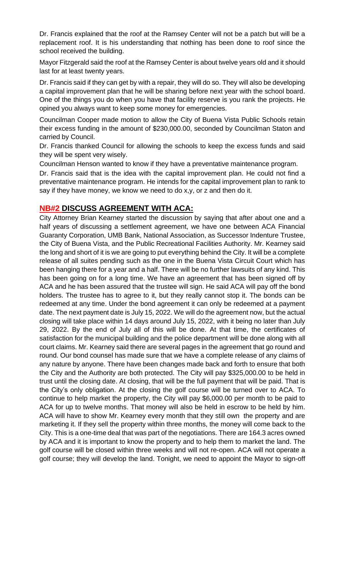Dr. Francis explained that the roof at the Ramsey Center will not be a patch but will be a replacement roof. It is his understanding that nothing has been done to roof since the school received the building.

Mayor Fitzgerald said the roof at the Ramsey Center is about twelve years old and it should last for at least twenty years.

Dr. Francis said if they can get by with a repair, they will do so. They will also be developing a capital improvement plan that he will be sharing before next year with the school board. One of the things you do when you have that facility reserve is you rank the projects. He opined you always want to keep some money for emergencies.

Councilman Cooper made motion to allow the City of Buena Vista Public Schools retain their excess funding in the amount of \$230,000.00, seconded by Councilman Staton and carried by Council.

Dr. Francis thanked Council for allowing the schools to keep the excess funds and said they will be spent very wisely.

Councilman Henson wanted to know if they have a preventative maintenance program.

Dr. Francis said that is the idea with the capital improvement plan. He could not find a preventative maintenance program. He intends for the capital improvement plan to rank to say if they have money, we know we need to do x,y, or z and then do it.

### **NB#2 DISCUSS AGREEMENT WITH ACA:**

City Attorney Brian Kearney started the discussion by saying that after about one and a half years of discussing a settlement agreement, we have one between ACA Financial Guaranty Corporation, UMB Bank, National Association, as Successor Indenture Trustee, the City of Buena Vista, and the Public Recreational Facilities Authority. Mr. Kearney said the long and short of it is we are going to put everything behind the City. It will be a complete release of all suites pending such as the one in the Buena Vista Circuit Court which has been hanging there for a year and a half. There will be no further lawsuits of any kind. This has been going on for a long time. We have an agreement that has been signed off by ACA and he has been assured that the trustee will sign. He said ACA will pay off the bond holders. The trustee has to agree to it, but they really cannot stop it. The bonds can be redeemed at any time. Under the bond agreement it can only be redeemed at a payment date. The next payment date is July 15, 2022. We will do the agreement now, but the actual closing will take place within 14 days around July 15, 2022, with it being no later than July 29, 2022. By the end of July all of this will be done. At that time, the certificates of satisfaction for the municipal building and the police department will be done along with all court claims. Mr. Kearney said there are several pages in the agreement that go round and round. Our bond counsel has made sure that we have a complete release of any claims of any nature by anyone. There have been changes made back and forth to ensure that both the City and the Authority are both protected. The City will pay \$325,000.00 to be held in trust until the closing date. At closing, that will be the full payment that will be paid. That is the City's only obligation. At the closing the golf course will be turned over to ACA. To continue to help market the property, the City will pay \$6,000.00 per month to be paid to ACA for up to twelve months. That money will also be held in escrow to be held by him. ACA will have to show Mr. Kearney every month that they still own the property and are marketing it. If they sell the property within three months, the money will come back to the City. This is a one-time deal that was part of the negotiations. There are 164.3 acres owned by ACA and it is important to know the property and to help them to market the land. The golf course will be closed within three weeks and will not re-open. ACA will not operate a golf course; they will develop the land. Tonight, we need to appoint the Mayor to sign-off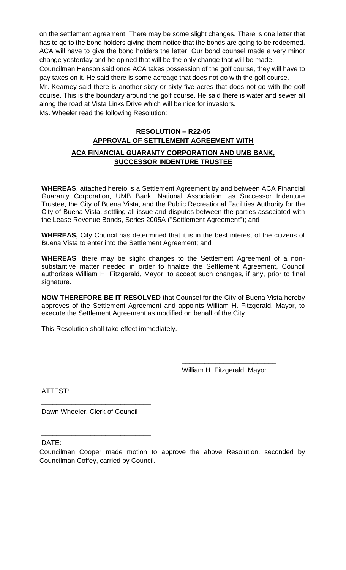on the settlement agreement. There may be some slight changes. There is one letter that has to go to the bond holders giving them notice that the bonds are going to be redeemed. ACA will have to give the bond holders the letter. Our bond counsel made a very minor change yesterday and he opined that will be the only change that will be made.

Councilman Henson said once ACA takes possession of the golf course, they will have to pay taxes on it. He said there is some acreage that does not go with the golf course.

Mr. Kearney said there is another sixty or sixty-five acres that does not go with the golf course. This is the boundary around the golf course. He said there is water and sewer all along the road at Vista Links Drive which will be nice for investors.

Ms. Wheeler read the following Resolution:

# **RESOLUTION – R22-05 APPROVAL OF SETTLEMENT AGREEMENT WITH ACA FINANCIAL GUARANTY CORPORATION AND UMB BANK, SUCCESSOR INDENTURE TRUSTEE**

**WHEREAS**, attached hereto is a Settlement Agreement by and between ACA Financial Guaranty Corporation, UMB Bank, National Association, as Successor Indenture Trustee, the City of Buena Vista, and the Public Recreational Facilities Authority for the City of Buena Vista, settling all issue and disputes between the parties associated with the Lease Revenue Bonds, Series 2005A ("Settlement Agreement"); and

**WHEREAS,** City Council has determined that it is in the best interest of the citizens of Buena Vista to enter into the Settlement Agreement; and

**WHEREAS**, there may be slight changes to the Settlement Agreement of a nonsubstantive matter needed in order to finalize the Settlement Agreement, Council authorizes William H. Fitzgerald, Mayor, to accept such changes, if any, prior to final signature.

**NOW THEREFORE BE IT RESOLVED** that Counsel for the City of Buena Vista hereby approves of the Settlement Agreement and appoints William H. Fitzgerald, Mayor, to execute the Settlement Agreement as modified on behalf of the City.

This Resolution shall take effect immediately.

William H. Fitzgerald, Mayor

\_\_\_\_\_\_\_\_\_\_\_\_\_\_\_\_\_\_\_\_\_\_\_\_\_

ATTEST:

Dawn Wheeler, Clerk of Council

\_\_\_\_\_\_\_\_\_\_\_\_\_\_\_\_\_\_\_\_\_\_\_\_\_\_\_\_\_

\_\_\_\_\_\_\_\_\_\_\_\_\_\_\_\_\_\_\_\_\_\_\_\_\_\_\_\_\_

DATE:

Councilman Cooper made motion to approve the above Resolution, seconded by Councilman Coffey, carried by Council.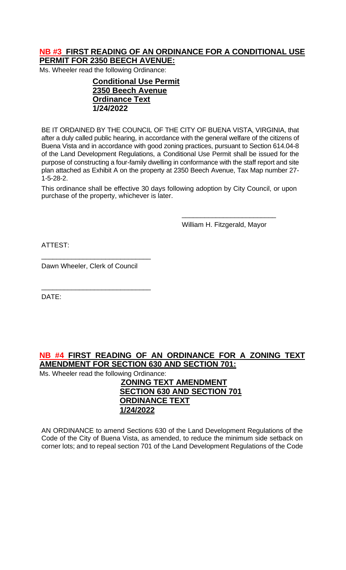### **NB #3 FIRST READING OF AN ORDINANCE FOR A CONDITIONAL USE PERMIT FOR 2350 BEECH AVENUE:**

Ms. Wheeler read the following Ordinance:

### **Conditional Use Permit 2350 Beech Avenue Ordinance Text 1/24/2022**

BE IT ORDAINED BY THE COUNCIL OF THE CITY OF BUENA VISTA, VIRGINIA, that after a duly called public hearing, in accordance with the general welfare of the citizens of Buena Vista and in accordance with good zoning practices, pursuant to Section 614.04-8 of the Land Development Regulations, a Conditional Use Permit shall be issued for the purpose of constructing a four-family dwelling in conformance with the staff report and site plan attached as Exhibit A on the property at 2350 Beech Avenue, Tax Map number 27- 1-5-28-2.

This ordinance shall be effective 30 days following adoption by City Council, or upon purchase of the property, whichever is later.

William H. Fitzgerald, Mayor

\_\_\_\_\_\_\_\_\_\_\_\_\_\_\_\_\_\_\_\_\_\_\_\_\_

ATTEST:

Dawn Wheeler, Clerk of Council

\_\_\_\_\_\_\_\_\_\_\_\_\_\_\_\_\_\_\_\_\_\_\_\_\_\_\_\_\_

\_\_\_\_\_\_\_\_\_\_\_\_\_\_\_\_\_\_\_\_\_\_\_\_\_\_\_\_\_

DATE:

**NB #4 FIRST READING OF AN ORDINANCE FOR A ZONING TEXT AMENDMENT FOR SECTION 630 AND SECTION 701:**

Ms. Wheeler read the following Ordinance:

**ZONING TEXT AMENDMENT SECTION 630 AND SECTION 701 ORDINANCE TEXT 1/24/2022**

AN ORDINANCE to amend Sections 630 of the Land Development Regulations of the Code of the City of Buena Vista, as amended, to reduce the minimum side setback on corner lots; and to repeal section 701 of the Land Development Regulations of the Code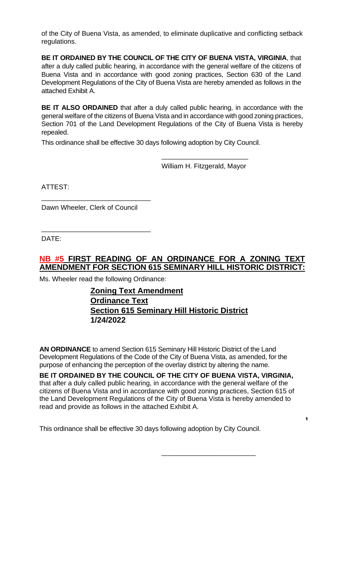of the City of Buena Vista, as amended, to eliminate duplicative and conflicting setback regulations.

**BE IT ORDAINED BY THE COUNCIL OF THE CITY OF BUENA VISTA, VIRGINIA**, that after a duly called public hearing, in accordance with the general welfare of the citizens of Buena Vista and in accordance with good zoning practices, Section 630 of the Land Development Regulations of the City of Buena Vista are hereby amended as follows in the attached Exhibit A.

**BE IT ALSO ORDAINED** that after a duly called public hearing, in accordance with the general welfare of the citizens of Buena Vista and in accordance with good zoning practices, Section 701 of the Land Development Regulations of the City of Buena Vista is hereby repealed.

This ordinance shall be effective 30 days following adoption by City Council.

\_\_\_\_\_\_\_\_\_\_\_\_\_\_\_\_\_\_\_\_\_\_\_ William H. Fitzgerald, Mayor

ATTEST:

Dawn Wheeler, Clerk of Council

\_\_\_\_\_\_\_\_\_\_\_\_\_\_\_\_\_\_\_\_\_\_\_\_\_\_\_\_\_

\_\_\_\_\_\_\_\_\_\_\_\_\_\_\_\_\_\_\_\_\_\_\_\_\_\_\_\_\_

DATE:

# **NB #5 FIRST READING OF AN ORDINANCE FOR A ZONING TEXT AMENDMENT FOR SECTION 615 SEMINARY HILL HISTORIC DISTRICT:**

Ms. Wheeler read the following Ordinance:

### **Zoning Text Amendment Ordinance Text Section 615 Seminary Hill Historic District 1/24/2022**

**AN ORDINANCE** to amend Section 615 Seminary Hill Historic District of the Land Development Regulations of the Code of the City of Buena Vista, as amended, for the purpose of enhancing the perception of the overlay district by altering the name.

**BE IT ORDAINED BY THE COUNCIL OF THE CITY OF BUENA VISTA, VIRGINIA,** that after a duly called public hearing, in accordance with the general welfare of the citizens of Buena Vista and in accordance with good zoning practices, Section 615 of the Land Development Regulations of the City of Buena Vista is hereby amended to read and provide as follows in the attached Exhibit A.

This ordinance shall be effective 30 days following adoption by City Council.

\_\_\_\_\_\_\_\_\_\_\_\_\_\_\_\_\_\_\_\_\_\_\_\_\_

**1**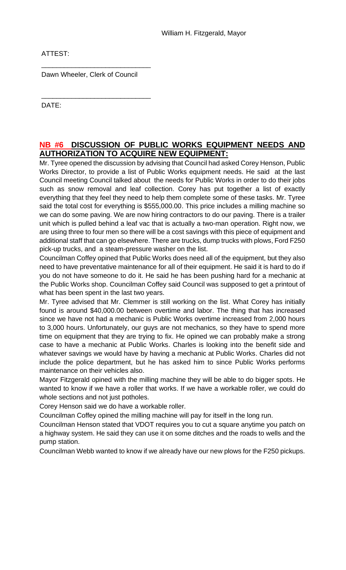ATTEST:

Dawn Wheeler, Clerk of Council

\_\_\_\_\_\_\_\_\_\_\_\_\_\_\_\_\_\_\_\_\_\_\_\_\_\_\_\_\_

\_\_\_\_\_\_\_\_\_\_\_\_\_\_\_\_\_\_\_\_\_\_\_\_\_\_\_\_\_

DATE:

#### **NB #6 DISCUSSION OF PUBLIC WORKS EQUIPMENT NEEDS AND AUTHORIZATION TO ACQUIRE NEW EQUIPMENT:**

Mr. Tyree opened the discussion by advising that Council had asked Corey Henson, Public Works Director, to provide a list of Public Works equipment needs. He said at the last Council meeting Council talked about the needs for Public Works in order to do their jobs such as snow removal and leaf collection. Corey has put together a list of exactly everything that they feel they need to help them complete some of these tasks. Mr. Tyree said the total cost for everything is \$555,000.00. This price includes a milling machine so we can do some paving. We are now hiring contractors to do our paving. There is a trailer unit which is pulled behind a leaf vac that is actually a two-man operation. Right now, we are using three to four men so there will be a cost savings with this piece of equipment and additional staff that can go elsewhere. There are trucks, dump trucks with plows, Ford F250 pick-up trucks, and a steam-pressure washer on the list.

Councilman Coffey opined that Public Works does need all of the equipment, but they also need to have preventative maintenance for all of their equipment. He said it is hard to do if you do not have someone to do it. He said he has been pushing hard for a mechanic at the Public Works shop. Councilman Coffey said Council was supposed to get a printout of what has been spent in the last two years.

Mr. Tyree advised that Mr. Clemmer is still working on the list. What Corey has initially found is around \$40,000.00 between overtime and labor. The thing that has increased since we have not had a mechanic is Public Works overtime increased from 2,000 hours to 3,000 hours. Unfortunately, our guys are not mechanics, so they have to spend more time on equipment that they are trying to fix. He opined we can probably make a strong case to have a mechanic at Public Works. Charles is looking into the benefit side and whatever savings we would have by having a mechanic at Public Works. Charles did not include the police department, but he has asked him to since Public Works performs maintenance on their vehicles also.

Mayor Fitzgerald opined with the milling machine they will be able to do bigger spots. He wanted to know if we have a roller that works. If we have a workable roller, we could do whole sections and not just potholes.

Corey Henson said we do have a workable roller.

Councilman Coffey opined the milling machine will pay for itself in the long run.

Councilman Henson stated that VDOT requires you to cut a square anytime you patch on a highway system. He said they can use it on some ditches and the roads to wells and the pump station.

Councilman Webb wanted to know if we already have our new plows for the F250 pickups.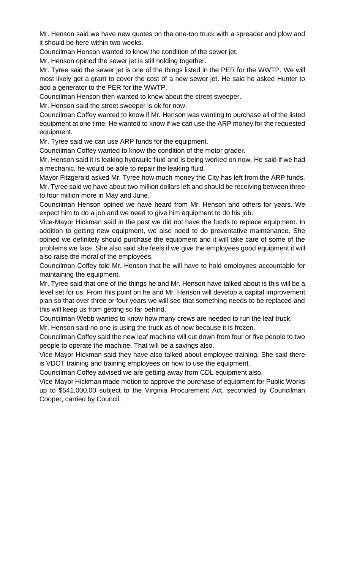Mr. Henson said we have new quotes on the one-ton truck with a spreader and plow and it should be here within two weeks.

Councilman Henson wanted to know the condition of the sewer jet.

Mr. Henson opined the sewer jet is still holding together.

Mr. Tyree said the sewer jet is one of the things listed in the PER for the WWTP. We will most likely get a grant to cover the cost of a new sewer jet. He said he asked Hunter to add a generator to the PER for the WWTP.

Councilman Henson then wanted to know about the street sweeper.

Mr. Henson said the street sweeper is ok for now.

Councilman Coffey wanted to know if Mr. Henson was wanting to purchase all of the listed equipment at one time. He wanted to know if we can use the ARP money for the requested equipment.

Mr. Tyree said we can use ARP funds for the equipment.

Councilman Coffey wanted to know the condition of the motor grader.

Mr. Henson said it is leaking hydraulic fluid and is being worked on now. He said if we had a mechanic, he would be able to repair the leaking fluid.

Mayor Fitzgerald asked Mr. Tyree how much money the City has left from the ARP funds. Mr. Tyree said we have about two million dollars left and should be receiving between three to four million more in May and June.

Councilman Henson opined we have heard from Mr. Henson and others for years. We expect him to do a job and we need to give him equipment to do his job.

Vice-Mayor Hickman said in the past we did not have the funds to replace equipment. In addition to getting new equipment, we also need to do preventative maintenance. She opined we definitely should purchase the equipment and it will take care of some of the problems we face. She also said she feels if we give the employees good equipment it will also raise the moral of the employees.

Councilman Coffey told Mr. Henson that he will have to hold employees accountable for maintaining the equipment.

Mr. Tyree said that one of the things he and Mr. Henson have talked about is this will be a level set for us. From this point on he and Mr. Henson will develop a capital improvement plan so that over three or four years we will see that something needs to be replaced and this will keep us from getting so far behind.

Councilman Webb wanted to know how many crews are needed to run the leaf truck.

Mr. Henson said no one is using the truck as of now because it is frozen.

Councilman Coffey said the new leaf machine will cut down from four or five people to two people to operate the machine. That will be a savings also.

Vice-Mayor Hickman said they have also talked about employee training. She said there is VDOT training and training employees on how to use the equipment.

Councilman Coffey advised we are getting away from CDL equipment also.

Vice-Mayor Hickman made motion to approve the purchase of equipment for Public Works up to \$541,000.00 subject to the Virginia Procurement Act, seconded by Councilman Cooper, carried by Council.